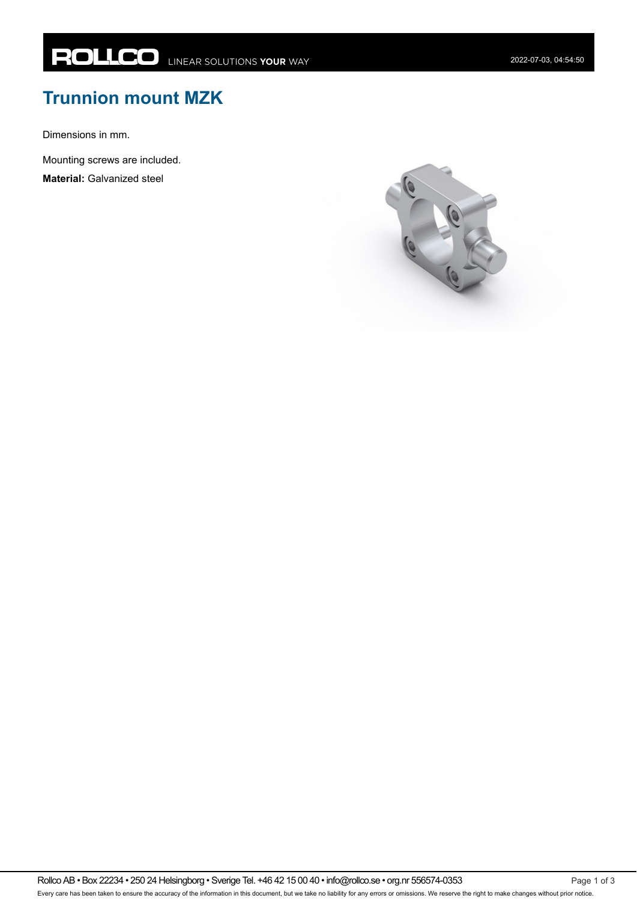## **Trunnion mount MZK**

Dimensions in mm.

Mounting screws are included.

**Material:** Galvanized steel



Rollco AB • Box 22234 • 250 24 Helsingborg • Sverige Tel. +46 42 15 00 40 • info@rollco.se • org.nr 556574-0353 Every care has been taken to ensure the accuracy of the information in this document, but we take no liability for any errors or omissions. We reserve the right to make changes without prior notice.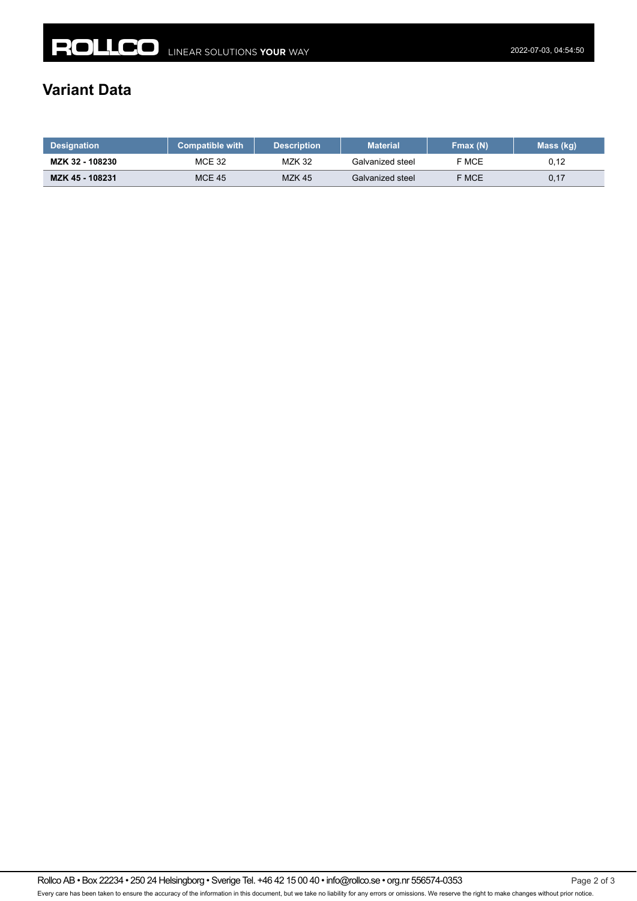## **Variant Data**

| <b>Designation</b> | <b>Compatible with</b> | <b>Description</b> | <b>Material</b>  | Fmax (N) | Mass (kg) |
|--------------------|------------------------|--------------------|------------------|----------|-----------|
| MZK 32 - 108230    | MCE 32                 | <b>MZK 32</b>      | Galvanized steel | F MCE    | 0.12      |
| MZK 45 - 108231    | <b>MCE 45</b>          | <b>MZK 45</b>      | Galvanized steel | F MCE    | 0,17      |

Rollco AB • Box 22234 • 250 24 Helsingborg • Sverige Tel. +46 42 15 00 40 • info@rollco.se • org.nr 556574-0353 Page 2 of 3 Every care has been taken to ensure the accuracy of the information in this document, but we take no liability for any errors or omissions. We reserve the right to make changes without prior notice.